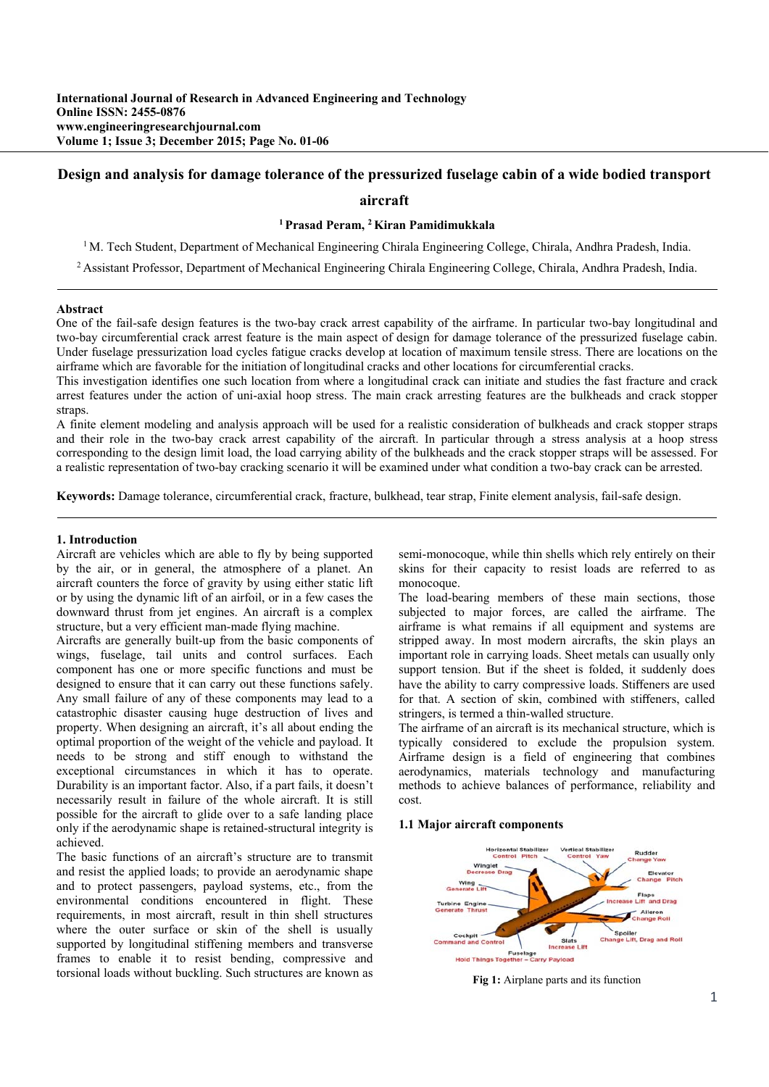# **Design and analysis for damage tolerance of the pressurized fuselage cabin of a wide bodied transport**

# **aircraft**

### **1 Prasad Peram, 2 Kiran Pamidimukkala**

<sup>1</sup> M. Tech Student, Department of Mechanical Engineering Chirala Engineering College, Chirala, Andhra Pradesh, India.

2 Assistant Professor, Department of Mechanical Engineering Chirala Engineering College, Chirala, Andhra Pradesh, India.

#### **Abstract**

One of the fail-safe design features is the two-bay crack arrest capability of the airframe. In particular two-bay longitudinal and two-bay circumferential crack arrest feature is the main aspect of design for damage tolerance of the pressurized fuselage cabin. Under fuselage pressurization load cycles fatigue cracks develop at location of maximum tensile stress. There are locations on the airframe which are favorable for the initiation of longitudinal cracks and other locations for circumferential cracks.

This investigation identifies one such location from where a longitudinal crack can initiate and studies the fast fracture and crack arrest features under the action of uni-axial hoop stress. The main crack arresting features are the bulkheads and crack stopper straps.

A finite element modeling and analysis approach will be used for a realistic consideration of bulkheads and crack stopper straps and their role in the two-bay crack arrest capability of the aircraft. In particular through a stress analysis at a hoop stress corresponding to the design limit load, the load carrying ability of the bulkheads and the crack stopper straps will be assessed. For a realistic representation of two-bay cracking scenario it will be examined under what condition a two-bay crack can be arrested.

**Keywords:** Damage tolerance, circumferential crack, fracture, bulkhead, tear strap, Finite element analysis, fail-safe design.

#### **1. Introduction**

Aircraft are vehicles which are able to fly by being supported by the air, or in general, the atmosphere of a planet. An aircraft counters the force of gravity by using either static lift or by using the dynamic lift of an airfoil, or in a few cases the downward thrust from jet engines. An aircraft is a complex structure, but a very efficient man-made flying machine.

Aircrafts are generally built-up from the basic components of wings, fuselage, tail units and control surfaces. Each component has one or more specific functions and must be designed to ensure that it can carry out these functions safely. Any small failure of any of these components may lead to a catastrophic disaster causing huge destruction of lives and property. When designing an aircraft, it's all about ending the optimal proportion of the weight of the vehicle and payload. It needs to be strong and stiff enough to withstand the exceptional circumstances in which it has to operate. Durability is an important factor. Also, if a part fails, it doesn't necessarily result in failure of the whole aircraft. It is still possible for the aircraft to glide over to a safe landing place only if the aerodynamic shape is retained-structural integrity is achieved.

The basic functions of an aircraft's structure are to transmit and resist the applied loads; to provide an aerodynamic shape and to protect passengers, payload systems, etc., from the environmental conditions encountered in flight. These requirements, in most aircraft, result in thin shell structures where the outer surface or skin of the shell is usually supported by longitudinal stiffening members and transverse frames to enable it to resist bending, compressive and torsional loads without buckling. Such structures are known as

semi-monocoque, while thin shells which rely entirely on their skins for their capacity to resist loads are referred to as monocoque.

The load-bearing members of these main sections, those subjected to major forces, are called the airframe. The airframe is what remains if all equipment and systems are stripped away. In most modern aircrafts, the skin plays an important role in carrying loads. Sheet metals can usually only support tension. But if the sheet is folded, it suddenly does have the ability to carry compressive loads. Stiffeners are used for that. A section of skin, combined with stiffeners, called stringers, is termed a thin-walled structure.

The airframe of an aircraft is its mechanical structure, which is typically considered to exclude the propulsion system. Airframe design is a field of engineering that combines aerodynamics, materials technology and manufacturing methods to achieve balances of performance, reliability and cost.

#### **1.1 Major aircraft components**



**Fig 1:** Airplane parts and its function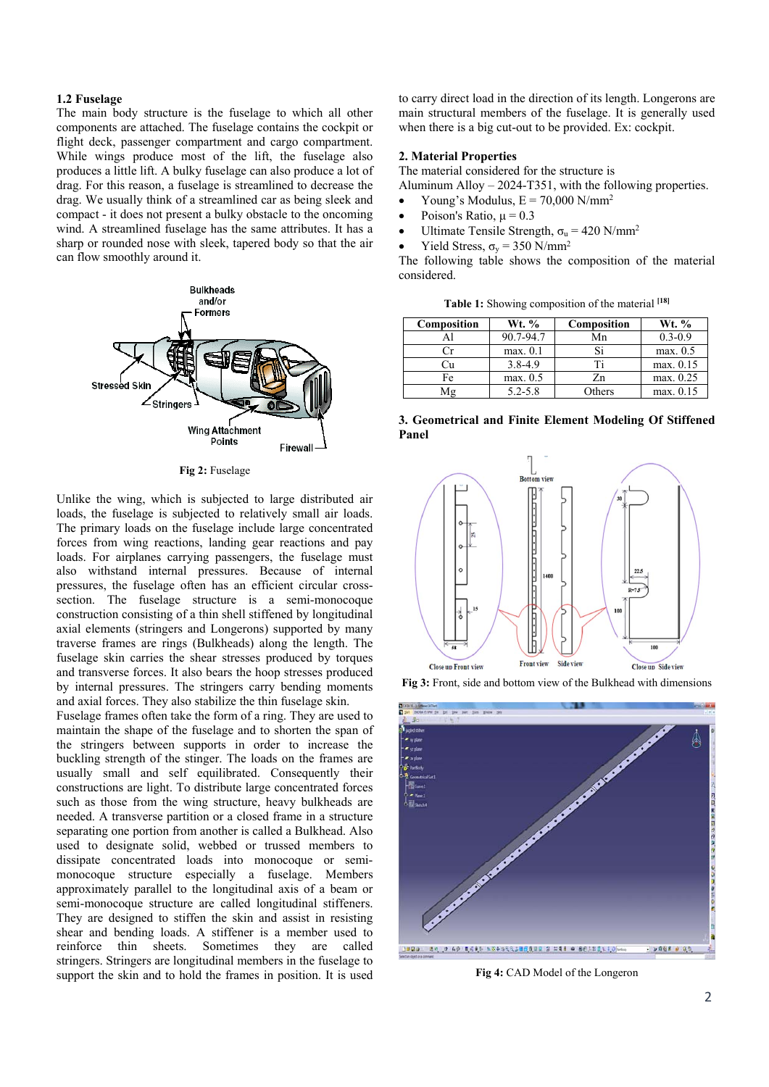### **1.2 Fuselage**

The main body structure is the fuselage to which all other components are attached. The fuselage contains the cockpit or flight deck, passenger compartment and cargo compartment. While wings produce most of the lift, the fuselage also produces a little lift. A bulky fuselage can also produce a lot of drag. For this reason, a fuselage is streamlined to decrease the drag. We usually think of a streamlined car as being sleek and compact - it does not present a bulky obstacle to the oncoming wind. A streamlined fuselage has the same attributes. It has a sharp or rounded nose with sleek, tapered body so that the air can flow smoothly around it.



**Fig 2:** Fuselage

Unlike the wing, which is subjected to large distributed air loads, the fuselage is subjected to relatively small air loads. The primary loads on the fuselage include large concentrated forces from wing reactions, landing gear reactions and pay loads. For airplanes carrying passengers, the fuselage must also withstand internal pressures. Because of internal pressures, the fuselage often has an efficient circular crosssection. The fuselage structure is a semi-monocoque construction consisting of a thin shell stiffened by longitudinal axial elements (stringers and Longerons) supported by many traverse frames are rings (Bulkheads) along the length. The fuselage skin carries the shear stresses produced by torques and transverse forces. It also bears the hoop stresses produced by internal pressures. The stringers carry bending moments and axial forces. They also stabilize the thin fuselage skin.

Fuselage frames often take the form of a ring. They are used to maintain the shape of the fuselage and to shorten the span of the stringers between supports in order to increase the buckling strength of the stinger. The loads on the frames are usually small and self equilibrated. Consequently their constructions are light. To distribute large concentrated forces such as those from the wing structure, heavy bulkheads are needed. A transverse partition or a closed frame in a structure separating one portion from another is called a Bulkhead. Also used to designate solid, webbed or trussed members to dissipate concentrated loads into monocoque or semimonocoque structure especially a fuselage. Members approximately parallel to the longitudinal axis of a beam or semi-monocoque structure are called longitudinal stiffeners. They are designed to stiffen the skin and assist in resisting shear and bending loads. A stiffener is a member used to reinforce thin sheets. Sometimes they are called stringers. Stringers are longitudinal members in the fuselage to support the skin and to hold the frames in position. It is used to carry direct load in the direction of its length. Longerons are main structural members of the fuselage. It is generally used when there is a big cut-out to be provided. Ex: cockpit.

### **2. Material Properties**

The material considered for the structure is

Aluminum Alloy – 2024-T351, with the following properties.

- Young's Modulus,  $E = 70,000$  N/mm<sup>2</sup>
- Poison's Ratio,  $\mu = 0.3$
- Ultimate Tensile Strength,  $\sigma_u = 420 \text{ N/mm}^2$
- Yield Stress,  $\sigma_y = 350 \text{ N/mm}^2$

The following table shows the composition of the material considered.

| Table 1: Showing composition of the material [18] |  |  |  |  |  |  |
|---------------------------------------------------|--|--|--|--|--|--|
|---------------------------------------------------|--|--|--|--|--|--|

| Composition | Wt. %       | <b>Composition</b> | Wt. %       |
|-------------|-------------|--------------------|-------------|
|             | 90.7-94.7   | Mn                 | $0.3 - 0.9$ |
|             | max. 0.1    | Si                 | max. 0.5    |
|             | $3.8 - 4.9$ | Ti                 | max. 0.15   |
| Fe          | max. 0.5    | Zn                 | max. 0.25   |
| Mε          | $5.2 - 5.8$ | Others             | max. 0.15   |

**3. Geometrical and Finite Element Modeling Of Stiffened Panel**







**Fig 4:** CAD Model of the Longeron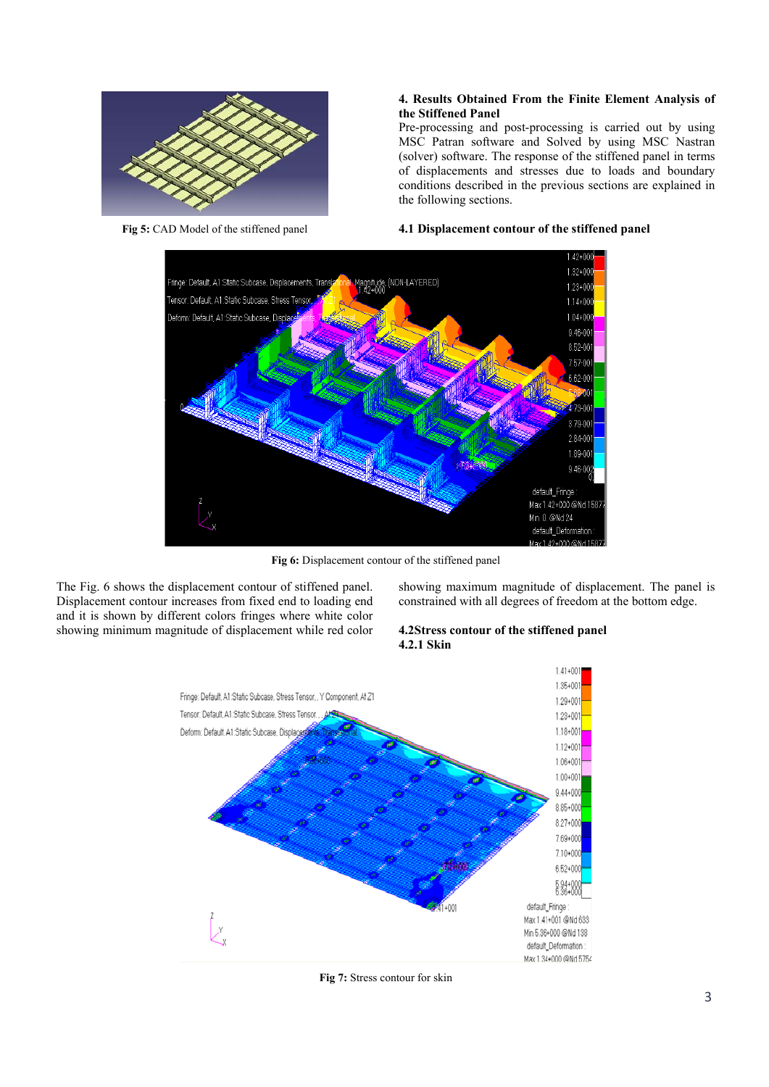

**Fig 5:** CAD Model of the stiffened panel

# **4. Results Obtained From the Finite Element Analysis of the Stiffened Panel**

Pre-processing and post-processing is carried out by using MSC Patran software and Solved by using MSC Nastran (solver) software. The response of the stiffened panel in terms of displacements and stresses due to loads and boundary conditions described in the previous sections are explained in the following sections.

# **4.1 Displacement contour of the stiffened panel**



**Fig 6:** Displacement contour of the stiffened panel

The Fig. 6 shows the displacement contour of stiffened panel. Displacement contour increases from fixed end to loading end and it is shown by different colors fringes where white color showing minimum magnitude of displacement while red color showing maximum magnitude of displacement. The panel is constrained with all degrees of freedom at the bottom edge.

### **4.2Stress contour of the stiffened panel 4.2.1 Skin**



**Fig 7:** Stress contour for skin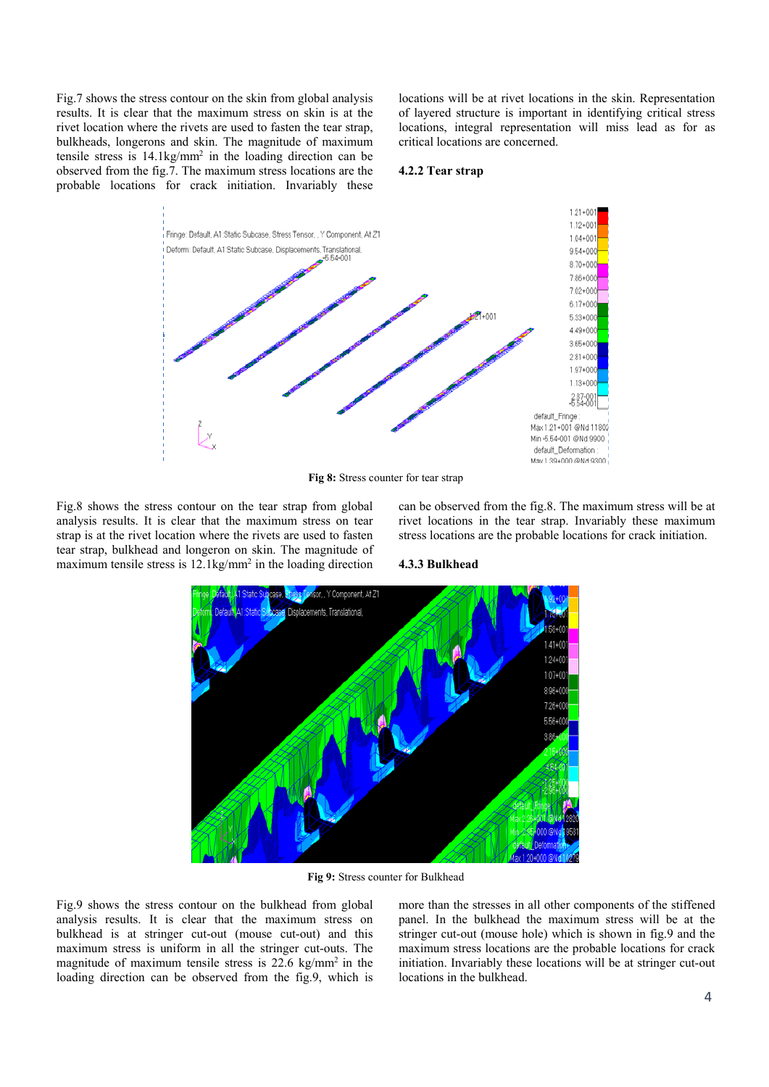Fig.7 shows the stress contour on the skin from global analysis results. It is clear that the maximum stress on skin is at the rivet location where the rivets are used to fasten the tear strap, bulkheads, longerons and skin. The magnitude of maximum tensile stress is  $14.1\text{kg/mm}^2$  in the loading direction can be observed from the fig.7. The maximum stress locations are the probable locations for crack initiation. Invariably these

locations will be at rivet locations in the skin. Representation of layered structure is important in identifying critical stress locations, integral representation will miss lead as for as critical locations are concerned.

### **4.2.2 Tear strap**



**Fig 8:** Stress counter for tear strap

Fig.8 shows the stress contour on the tear strap from global analysis results. It is clear that the maximum stress on tear strap is at the rivet location where the rivets are used to fasten tear strap, bulkhead and longeron on skin. The magnitude of maximum tensile stress is 12.1kg/mm<sup>2</sup> in the loading direction can be observed from the fig.8. The maximum stress will be at rivet locations in the tear strap. Invariably these maximum stress locations are the probable locations for crack initiation.

### **4.3.3 Bulkhead**



**Fig 9:** Stress counter for Bulkhead

Fig.9 shows the stress contour on the bulkhead from global analysis results. It is clear that the maximum stress on bulkhead is at stringer cut-out (mouse cut-out) and this maximum stress is uniform in all the stringer cut-outs. The magnitude of maximum tensile stress is  $22.6 \text{ kg/mm}^2$  in the loading direction can be observed from the fig.9, which is more than the stresses in all other components of the stiffened panel. In the bulkhead the maximum stress will be at the stringer cut-out (mouse hole) which is shown in fig.9 and the maximum stress locations are the probable locations for crack initiation. Invariably these locations will be at stringer cut-out locations in the bulkhead.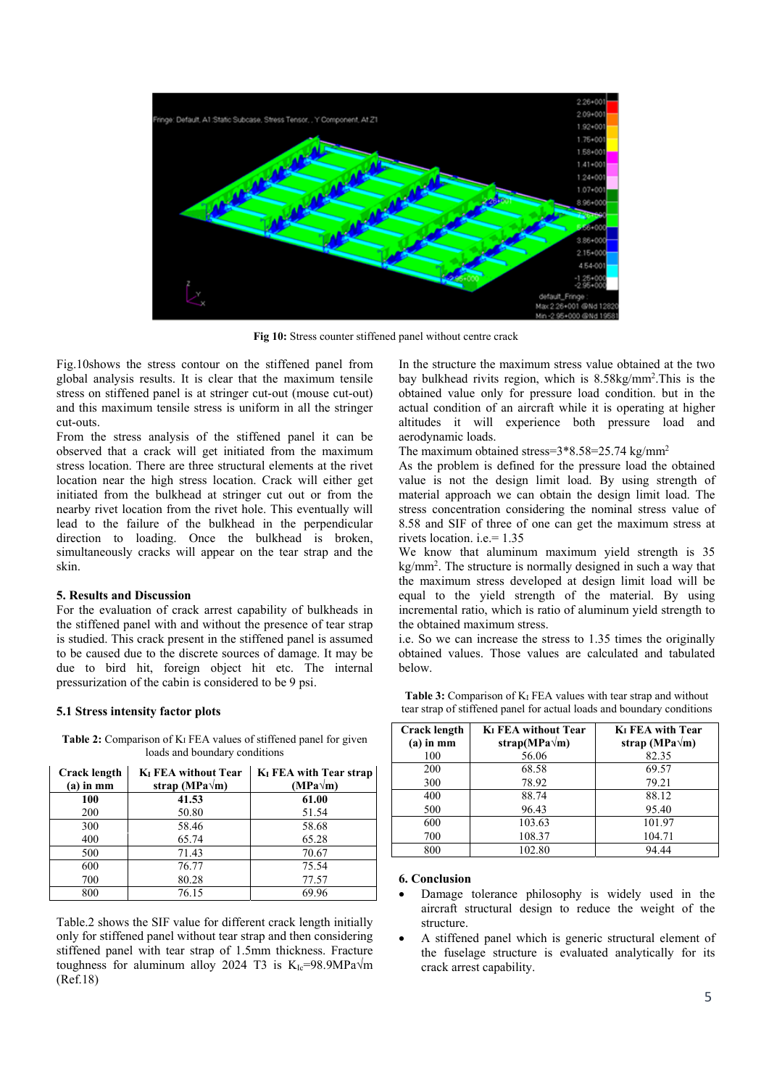

**Fig 10:** Stress counter stiffened panel without centre crack

Fig.10shows the stress contour on the stiffened panel from global analysis results. It is clear that the maximum tensile stress on stiffened panel is at stringer cut-out (mouse cut-out) and this maximum tensile stress is uniform in all the stringer cut-outs.

From the stress analysis of the stiffened panel it can be observed that a crack will get initiated from the maximum stress location. There are three structural elements at the rivet location near the high stress location. Crack will either get initiated from the bulkhead at stringer cut out or from the nearby rivet location from the rivet hole. This eventually will lead to the failure of the bulkhead in the perpendicular direction to loading. Once the bulkhead is broken, simultaneously cracks will appear on the tear strap and the skin.

# **5. Results and Discussion**

For the evaluation of crack arrest capability of bulkheads in the stiffened panel with and without the presence of tear strap is studied. This crack present in the stiffened panel is assumed to be caused due to the discrete sources of damage. It may be due to bird hit, foreign object hit etc. The internal pressurization of the cabin is considered to be 9 psi.

#### **5.1 Stress intensity factor plots**

Table 2: Comparison of K<sub>I</sub> FEA values of stiffened panel for given loads and boundary conditions

| <b>Crack length</b><br>$(a)$ in mm | <b>K<sub>I</sub></b> FEA without Tear<br>strap (MPa $\sqrt{m}$ ) | K <sub>I</sub> FEA with Tear strap<br>$(MPa\sqrt{m})$ |
|------------------------------------|------------------------------------------------------------------|-------------------------------------------------------|
| 100                                | 41.53                                                            | 61.00                                                 |
| 200                                | 50.80                                                            | 51.54                                                 |
| 300                                | 58.46                                                            | 58.68                                                 |
| 400                                | 65.74                                                            | 65.28                                                 |
| 500                                | 71.43                                                            | 70.67                                                 |
| 600                                | 76.77                                                            | 75.54                                                 |
| 700                                | 80.28                                                            | 77.57                                                 |
| 800                                | 76.15                                                            | 69.96                                                 |

Table.2 shows the SIF value for different crack length initially only for stiffened panel without tear strap and then considering stiffened panel with tear strap of 1.5mm thickness. Fracture toughness for aluminum alloy 2024 T3 is  $K_{Ic}=98.9MPa\sqrt{m}$ (Ref.18)

In the structure the maximum stress value obtained at the two bay bulkhead rivits region, which is 8.58kg/mm2 .This is the obtained value only for pressure load condition. but in the actual condition of an aircraft while it is operating at higher altitudes it will experience both pressure load and aerodynamic loads.

The maximum obtained stress=3\*8.58=25.74 kg/mm2

As the problem is defined for the pressure load the obtained value is not the design limit load. By using strength of material approach we can obtain the design limit load. The stress concentration considering the nominal stress value of 8.58 and SIF of three of one can get the maximum stress at rivets location. i.e.= 1.35

We know that aluminum maximum yield strength is 35 kg/mm2 . The structure is normally designed in such a way that the maximum stress developed at design limit load will be equal to the yield strength of the material. By using incremental ratio, which is ratio of aluminum yield strength to the obtained maximum stress.

i.e. So we can increase the stress to 1.35 times the originally obtained values. Those values are calculated and tabulated below.

| Crack length<br>$(a)$ in mm | <b>K<sub>I</sub></b> FEA without Tear<br>strap(MPa $\sqrt{m}$ ) | K <sub>I</sub> FEA with Tear<br>strap (MPa $\sqrt{m}$ ) |
|-----------------------------|-----------------------------------------------------------------|---------------------------------------------------------|
| 100                         | 56.06                                                           | 82.35                                                   |
| 200                         | 68.58                                                           | 69.57                                                   |
| 300                         | 78.92                                                           | 79.21                                                   |
| 400                         | 88.74                                                           | 88.12                                                   |
| 500                         | 96.43                                                           | 95.40                                                   |
| 600                         | 103.63                                                          | 101.97                                                  |
| 700                         | 108.37                                                          | 104.71                                                  |
| 800                         | 102.80                                                          | 94.44                                                   |

**Table 3:** Comparison of K<sub>I</sub> FEA values with tear strap and without tear strap of stiffened panel for actual loads and boundary conditions

### **6. Conclusion**

- Damage tolerance philosophy is widely used in the aircraft structural design to reduce the weight of the structure.
- A stiffened panel which is generic structural element of the fuselage structure is evaluated analytically for its crack arrest capability.